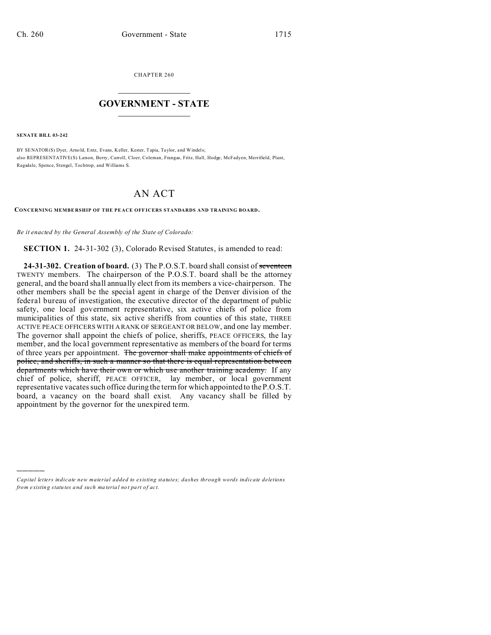CHAPTER 260  $\overline{\phantom{a}}$  , where  $\overline{\phantom{a}}$ 

## **GOVERNMENT - STATE**  $\_$   $\_$

**SENATE BILL 03-242**

)))))

BY SENATOR(S) Dyer, Arno ld, Entz, Evans, Keller, Kester, Tapia, Taylor, and Windels; also REPRESENTATIVE(S) Larson, Berry, Carroll, Cloer, Coleman, Frangas, Fritz, Hall, Hodge, McFadyen, Merrifield, Plant, Ragsdale, Spence, Stengel, Tochtrop, and Williams S.

## AN ACT

**CONCERNING MEMBE RSHIP OF THE PE ACE OFF ICERS STANDARDS AND TRAINING BOARD.**

*Be it enacted by the General Assembly of the State of Colorado:*

**SECTION 1.** 24-31-302 (3), Colorado Revised Statutes, is amended to read:

**24-31-302. Creation of board.** (3) The P.O.S.T. board shall consist of seventeen TWENTY members. The chairperson of the P.O.S.T. board shall be the attorney general, and the board shall annually elect from its members a vice-chairperson. The other members shall be the special agent in charge of the Denver division of the federal bureau of investigation, the executive director of the department of public safety, one local government representative, six active chiefs of police from municipalities of this state, six active sheriffs from counties of this state, THREE ACTIVE PEACE OFFICERS WITH A RANK OF SERGEANT OR BELOW, and one lay member. The governor shall appoint the chiefs of police, sheriffs, PEACE OFFICERS, the lay member, and the local government representative as members of the board for terms of three years per appointment. The governor shall make appointments of chiefs of police, and sheriffs, in such a manner so that there is equal representation between departments which have their own or which use another training academy. If any chief of police, sheriff, PEACE OFFICER, lay member, or local government representative vacates such office during the term for which appointed to the P.O.S.T. board, a vacancy on the board shall exist. Any vacancy shall be filled by appointment by the governor for the unexpired term.

*Capital letters indicate new material added to existing statutes; dashes through words indicate deletions from e xistin g statu tes a nd such ma teria l no t pa rt of ac t.*